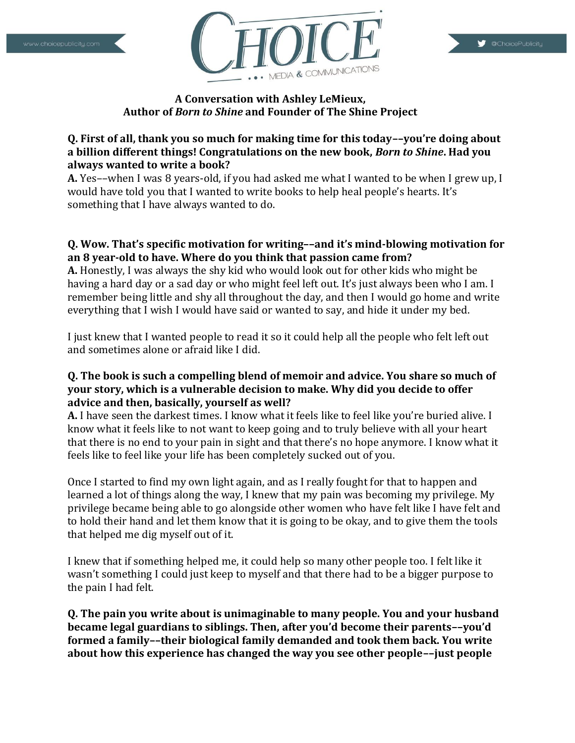



# **A Conversation with Ashley LeMieux, Author of** *Born to Shine* **and Founder of The Shine Project**

# **Q. First of all, thank you so much for making time for this today––you're doing about a billion different things! Congratulations on the new book,** *Born to Shine***. Had you always wanted to write a book?**

**A.** Yes––when I was 8 years-old, if you had asked me what I wanted to be when I grew up, I would have told you that I wanted to write books to help heal people's hearts. It's something that I have always wanted to do.

# **Q. Wow. That's specific motivation for writing––and it's mind-blowing motivation for an 8 year-old to have. Where do you think that passion came from?**

**A.** Honestly, I was always the shy kid who would look out for other kids who might be having a hard day or a sad day or who might feel left out. It's just always been who I am. I remember being little and shy all throughout the day, and then I would go home and write everything that I wish I would have said or wanted to say, and hide it under my bed.

I just knew that I wanted people to read it so it could help all the people who felt left out and sometimes alone or afraid like I did.

#### **Q. The book is such a compelling blend of memoir and advice. You share so much of your story, which is a vulnerable decision to make. Why did you decide to offer advice and then, basically, yourself as well?**

**A.** I have seen the darkest times. I know what it feels like to feel like you're buried alive. I know what it feels like to not want to keep going and to truly believe with all your heart that there is no end to your pain in sight and that there's no hope anymore. I know what it feels like to feel like your life has been completely sucked out of you.

Once I started to find my own light again, and as I really fought for that to happen and learned a lot of things along the way, I knew that my pain was becoming my privilege. My privilege became being able to go alongside other women who have felt like I have felt and to hold their hand and let them know that it is going to be okay, and to give them the tools that helped me dig myself out of it.

I knew that if something helped me, it could help so many other people too. I felt like it wasn't something I could just keep to myself and that there had to be a bigger purpose to the pain I had felt.

**Q. The pain you write about is unimaginable to many people. You and your husband became legal guardians to siblings. Then, after you'd become their parents––you'd formed a family––their biological family demanded and took them back. You write about how this experience has changed the way you see other people––just people**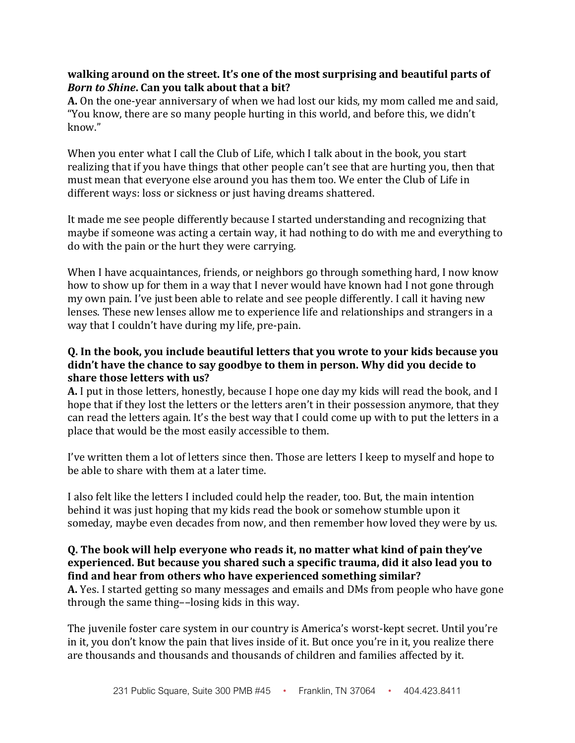#### **walking around on the street. It's one of the most surprising and beautiful parts of**  *Born to Shine***. Can you talk about that a bit?**

**A.** On the one-year anniversary of when we had lost our kids, my mom called me and said, "You know, there are so many people hurting in this world, and before this, we didn't know."

When you enter what I call the Club of Life, which I talk about in the book, you start realizing that if you have things that other people can't see that are hurting you, then that must mean that everyone else around you has them too. We enter the Club of Life in different ways: loss or sickness or just having dreams shattered.

It made me see people differently because I started understanding and recognizing that maybe if someone was acting a certain way, it had nothing to do with me and everything to do with the pain or the hurt they were carrying.

When I have acquaintances, friends, or neighbors go through something hard, I now know how to show up for them in a way that I never would have known had I not gone through my own pain. I've just been able to relate and see people differently. I call it having new lenses. These new lenses allow me to experience life and relationships and strangers in a way that I couldn't have during my life, pre-pain.

#### **Q. In the book, you include beautiful letters that you wrote to your kids because you didn't have the chance to say goodbye to them in person. Why did you decide to share those letters with us?**

**A.** I put in those letters, honestly, because I hope one day my kids will read the book, and I hope that if they lost the letters or the letters aren't in their possession anymore, that they can read the letters again. It's the best way that I could come up with to put the letters in a place that would be the most easily accessible to them.

I've written them a lot of letters since then. Those are letters I keep to myself and hope to be able to share with them at a later time.

I also felt like the letters I included could help the reader, too. But, the main intention behind it was just hoping that my kids read the book or somehow stumble upon it someday, maybe even decades from now, and then remember how loved they were by us.

# **Q. The book will help everyone who reads it, no matter what kind of pain they've experienced. But because you shared such a specific trauma, did it also lead you to find and hear from others who have experienced something similar?**

**A.** Yes. I started getting so many messages and emails and DMs from people who have gone through the same thing––losing kids in this way.

The juvenile foster care system in our country is America's worst-kept secret. Until you're in it, you don't know the pain that lives inside of it. But once you're in it, you realize there are thousands and thousands and thousands of children and families affected by it.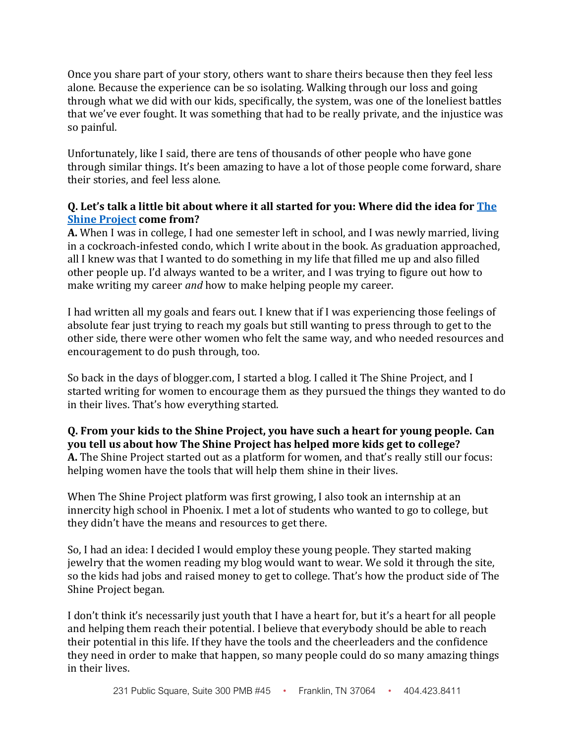Once you share part of your story, others want to share theirs because then they feel less alone. Because the experience can be so isolating. Walking through our loss and going through what we did with our kids, specifically, the system, was one of the loneliest battles that we've ever fought. It was something that had to be really private, and the injustice was so painful.

Unfortunately, like I said, there are tens of thousands of other people who have gone through similar things. It's been amazing to have a lot of those people come forward, share their stories, and feel less alone.

### **Q. Let's talk a little bit about where it all started for you: Where did the idea for [The](https://theshineproject.com/) Shine [Project](https://theshineproject.com/) come from?**

**A.** When I was in college, I had one semester left in school, and I was newly married, living in a cockroach-infested condo, which I write about in the book. As graduation approached, all I knew was that I wanted to do something in my life that filled me up and also filled other people up. I'd always wanted to be a writer, and I was trying to figure out how to make writing my career *and* how to make helping people my career.

I had written all my goals and fears out. I knew that if I was experiencing those feelings of absolute fear just trying to reach my goals but still wanting to press through to get to the other side, there were other women who felt the same way, and who needed resources and encouragement to do push through, too.

So back in the days of blogger.com, I started a blog. I called it The Shine Project, and I started writing for women to encourage them as they pursued the things they wanted to do in their lives. That's how everything started.

#### **Q. From your kids to the Shine Project, you have such a heart for young people. Can you tell us about how The Shine Project has helped more kids get to college? A.** The Shine Project started out as a platform for women, and that's really still our focus: helping women have the tools that will help them shine in their lives.

When The Shine Project platform was first growing, I also took an internship at an innercity high school in Phoenix. I met a lot of students who wanted to go to college, but they didn't have the means and resources to get there.

So, I had an idea: I decided I would employ these young people. They started making jewelry that the women reading my blog would want to wear. We sold it through the site, so the kids had jobs and raised money to get to college. That's how the product side of The Shine Project began.

I don't think it's necessarily just youth that I have a heart for, but it's a heart for all people and helping them reach their potential. I believe that everybody should be able to reach their potential in this life. If they have the tools and the cheerleaders and the confidence they need in order to make that happen, so many people could do so many amazing things in their lives.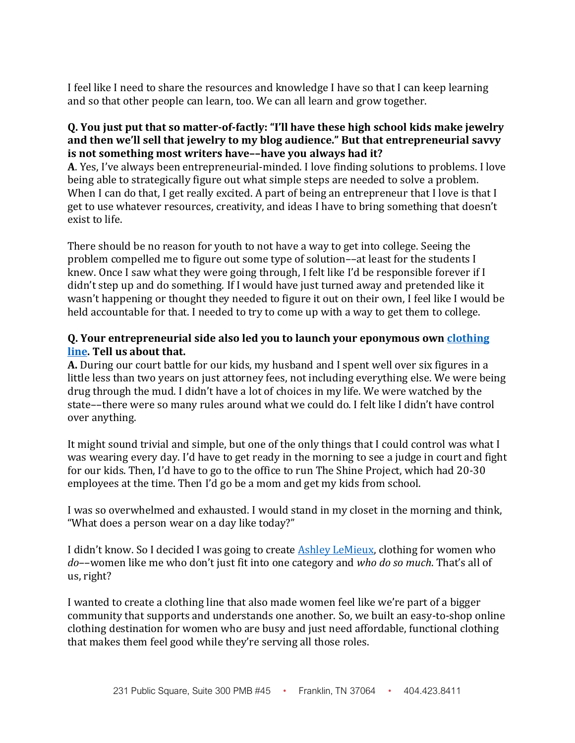I feel like I need to share the resources and knowledge I have so that I can keep learning and so that other people can learn, too. We can all learn and grow together.

#### **Q. You just put that so matter-of-factly: "I'll have these high school kids make jewelry and then we'll sell that jewelry to my blog audience." But that entrepreneurial savvy is not something most writers have––have you always had it?**

**A**. Yes, I've always been entrepreneurial-minded. I love finding solutions to problems. I love being able to strategically figure out what simple steps are needed to solve a problem. When I can do that, I get really excited. A part of being an entrepreneur that I love is that I get to use whatever resources, creativity, and ideas I have to bring something that doesn't exist to life.

There should be no reason for youth to not have a way to get into college. Seeing the problem compelled me to figure out some type of solution––at least for the students I knew. Once I saw what they were going through, I felt like I'd be responsible forever if I didn't step up and do something. If I would have just turned away and pretended like it wasn't happening or thought they needed to figure it out on their own, I feel like I would be held accountable for that. I needed to try to come up with a way to get them to college.

### **Q. Your entrepreneurial side also led you to launch your eponymous own [clothing](https://ashleylemieux.com/) [line.](https://ashleylemieux.com/) Tell us about that.**

**A.** During our court battle for our kids, my husband and I spent well over six figures in a little less than two years on just attorney fees, not including everything else. We were being drug through the mud. I didn't have a lot of choices in my life. We were watched by the state––there were so many rules around what we could do. I felt like I didn't have control over anything.

It might sound trivial and simple, but one of the only things that I could control was what I was wearing every day. I'd have to get ready in the morning to see a judge in court and fight for our kids. Then, I'd have to go to the office to run The Shine Project, which had 20-30 employees at the time. Then I'd go be a mom and get my kids from school.

I was so overwhelmed and exhausted. I would stand in my closet in the morning and think, "What does a person wear on a day like today?"

I didn't know. So I decided I was going to create Ashley [LeMieux,](https://ashleylemieux.com/) clothing for women who *do*––women like me who don't just fit into one category and *who do so much*. That's all of us, right?

I wanted to create a clothing line that also made women feel like we're part of a bigger community that supports and understands one another. So, we built an easy-to-shop online clothing destination for women who are busy and just need affordable, functional clothing that makes them feel good while they're serving all those roles.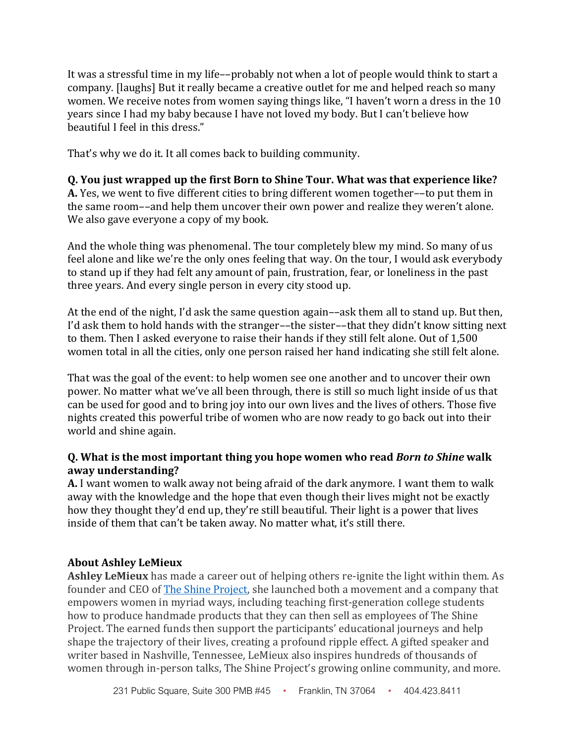It was a stressful time in my life––probably not when a lot of people would think to start a company. [laughs] But it really became a creative outlet for me and helped reach so many women. We receive notes from women saying things like, "I haven't worn a dress in the 10 years since I had my baby because I have not loved my body. But I can't believe how beautiful I feel in this dress."

That's why we do it. It all comes back to building community.

# **Q. You just wrapped up the first Born to Shine Tour. What was that experience like?**

**A.** Yes, we went to five different cities to bring different women together––to put them in the same room––and help them uncover their own power and realize they weren't alone. We also gave everyone a copy of my book.

And the whole thing was phenomenal. The tour completely blew my mind. So many of us feel alone and like we're the only ones feeling that way. On the tour, I would ask everybody to stand up if they had felt any amount of pain, frustration, fear, or loneliness in the past three years. And every single person in every city stood up.

At the end of the night, I'd ask the same question again––ask them all to stand up. But then, I'd ask them to hold hands with the stranger––the sister––that they didn't know sitting next to them. Then I asked everyone to raise their hands if they still felt alone. Out of 1,500 women total in all the cities, only one person raised her hand indicating she still felt alone.

That was the goal of the event: to help women see one another and to uncover their own power. No matter what we've all been through, there is still so much light inside of us that can be used for good and to bring joy into our own lives and the lives of others. Those five nights created this powerful tribe of women who are now ready to go back out into their world and shine again.

# **Q. What is the most important thing you hope women who read** *Born to Shine* **walk away understanding?**

**A.** I want women to walk away not being afraid of the dark anymore. I want them to walk away with the knowledge and the hope that even though their lives might not be exactly how they thought they'd end up, they're still beautiful. Their light is a power that lives inside of them that can't be taken away. No matter what, it's still there.

# **About Ashley LeMieux**

**Ashley LeMieux** has made a career out of helping others re-ignite the light within them. As founder and CEO of [The Shine Project,](https://theshineproject.com/) she launched both a movement and a company that empowers women in myriad ways, including teaching first-generation college students how to produce handmade products that they can then sell as employees of The Shine Project. The earned funds then support the participants' educational journeys and help shape the trajectory of their lives, creating a profound ripple effect. A gifted speaker and writer based in Nashville, Tennessee, LeMieux also inspires hundreds of thousands of women through in-person talks, The Shine Project's growing online community, and more.